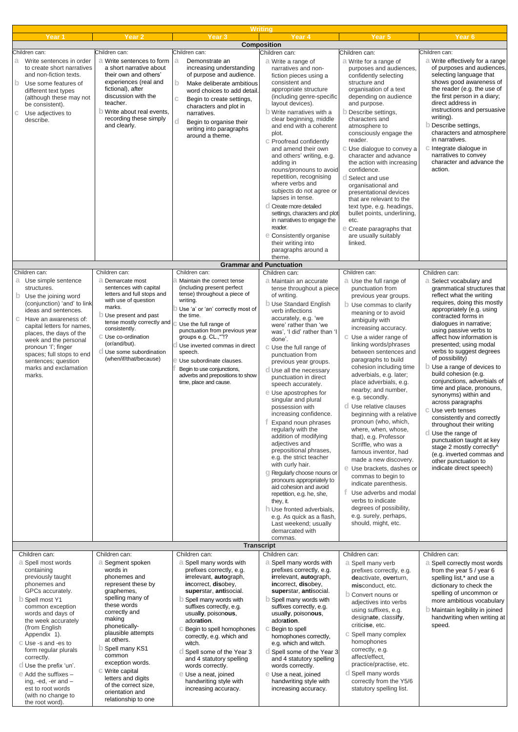| Year 1                                                                                                                                                                                                                                                                                                                                                                                                                                                                                                                                                                                                                                   | Year <sub>2</sub>                                                                                                                                                                                                                                                                                                                                                                                                                                                                                                                                                           | Year <sub>3</sub>                                                                                                                                                                                                                                                                                                                                                                                                                                                                                                                                                                                                                                                                                                                                              | <b>Writing</b><br>Year 4                                                                                                                                                                                                                                                                                                                                                                                                                                                                                                                                                                                                                                                                                                                                                                                                                                                                                                                                                                                                                                                                                                                            | Year <sub>5</sub>                                                                                                                                                                                                                                                                                                                                                                                                                                                                                                                                                                                                                                                                                                                                                                                                                                                                                                                                                                                                                           | Year <sub>6</sub>                                                                                                                                                                                                                                                                                                                                                                                                                                                                                                                                                                                                                                                                                                                                                                                                                                                                                                            |  |  |  |
|------------------------------------------------------------------------------------------------------------------------------------------------------------------------------------------------------------------------------------------------------------------------------------------------------------------------------------------------------------------------------------------------------------------------------------------------------------------------------------------------------------------------------------------------------------------------------------------------------------------------------------------|-----------------------------------------------------------------------------------------------------------------------------------------------------------------------------------------------------------------------------------------------------------------------------------------------------------------------------------------------------------------------------------------------------------------------------------------------------------------------------------------------------------------------------------------------------------------------------|----------------------------------------------------------------------------------------------------------------------------------------------------------------------------------------------------------------------------------------------------------------------------------------------------------------------------------------------------------------------------------------------------------------------------------------------------------------------------------------------------------------------------------------------------------------------------------------------------------------------------------------------------------------------------------------------------------------------------------------------------------------|-----------------------------------------------------------------------------------------------------------------------------------------------------------------------------------------------------------------------------------------------------------------------------------------------------------------------------------------------------------------------------------------------------------------------------------------------------------------------------------------------------------------------------------------------------------------------------------------------------------------------------------------------------------------------------------------------------------------------------------------------------------------------------------------------------------------------------------------------------------------------------------------------------------------------------------------------------------------------------------------------------------------------------------------------------------------------------------------------------------------------------------------------------|---------------------------------------------------------------------------------------------------------------------------------------------------------------------------------------------------------------------------------------------------------------------------------------------------------------------------------------------------------------------------------------------------------------------------------------------------------------------------------------------------------------------------------------------------------------------------------------------------------------------------------------------------------------------------------------------------------------------------------------------------------------------------------------------------------------------------------------------------------------------------------------------------------------------------------------------------------------------------------------------------------------------------------------------|------------------------------------------------------------------------------------------------------------------------------------------------------------------------------------------------------------------------------------------------------------------------------------------------------------------------------------------------------------------------------------------------------------------------------------------------------------------------------------------------------------------------------------------------------------------------------------------------------------------------------------------------------------------------------------------------------------------------------------------------------------------------------------------------------------------------------------------------------------------------------------------------------------------------------|--|--|--|
| <b>Composition</b>                                                                                                                                                                                                                                                                                                                                                                                                                                                                                                                                                                                                                       |                                                                                                                                                                                                                                                                                                                                                                                                                                                                                                                                                                             |                                                                                                                                                                                                                                                                                                                                                                                                                                                                                                                                                                                                                                                                                                                                                                |                                                                                                                                                                                                                                                                                                                                                                                                                                                                                                                                                                                                                                                                                                                                                                                                                                                                                                                                                                                                                                                                                                                                                     |                                                                                                                                                                                                                                                                                                                                                                                                                                                                                                                                                                                                                                                                                                                                                                                                                                                                                                                                                                                                                                             |                                                                                                                                                                                                                                                                                                                                                                                                                                                                                                                                                                                                                                                                                                                                                                                                                                                                                                                              |  |  |  |
| Children can:<br>a<br>Write sentences in order<br>to create short narratives<br>and non-fiction texts.<br>$\mathsf{b}$<br>Use some features of<br>different text types<br>(although these may not<br>be consistent).<br>Use adjectives to<br>С<br>describe.<br>Children can:<br>a Use simple sentence<br>structures.<br>Use the joining word<br>b.<br>(conjunction) 'and' to link<br>ideas and sentences.<br>C.<br>Have an awareness of:<br>capital letters for names,<br>places, the days of the<br>week and the personal<br>pronoun 'l'; finger<br>spaces; full stops to end<br>sentences; question<br>marks and exclamation<br>marks. | Children can:<br>a Write sentences to form<br>a short narrative about<br>their own and others'<br>experiences (real and<br>fictional), after<br>discussion with the<br>teacher.<br><b>D</b> Write about real events.<br>recording these simply<br>and clearly.<br>Children can:<br>a Demarcate most<br>sentences with capital<br>letters and full stops and<br>with use of question<br>marks.<br><b>D</b> Use present and past<br>tense mostly correctly and<br>consistently.<br>C Use co-ordination<br>(or/and/but).<br>C Use some subordination<br>(when/if/that/because) | Children can:<br>a<br>Demonstrate an<br>increasing understanding<br>of purpose and audience.<br>b.<br>Make deliberate ambitious<br>word choices to add detail.<br>C.<br>Begin to create settings,<br>characters and plot in<br>narratives.<br>d.<br>Begin to organise their<br>writing into paragraphs<br>around a theme.<br>Children can:<br>I Maintain the correct tense<br>(including present perfect<br>tense) throughout a piece of<br>writing.<br>Use 'a' or 'an' correctly most of<br>the time.<br>Use the full range of<br>punctuation from previous year<br>groups e.g. CL., ""!?<br>Use inverted commas in direct<br>speech.<br>Use subordinate clauses.<br>Begin to use conjunctions,<br>adverbs and prepositions to show<br>time, place and cause. | Children can:<br>a Write a range of<br>narratives and non-<br>fiction pieces using a<br>consistent and<br>appropriate structure<br>(including genre-specific<br>layout devices).<br><b>b</b> Write narratives with a<br>clear beginning, middle<br>and end with a coherent<br>plot.<br>C Proofread confidently<br>and amend their own<br>and others' writing, e.g.<br>adding in<br>nouns/pronouns to avoid<br>repetition, recognising<br>where verbs and<br>subjects do not agree or<br>lapses in tense.<br>cl Create more detailed<br>settings, characters and plot<br>in narratives to engage the<br>reader.<br>e Consistently organise<br>their writing into<br>paragraphs around a<br>theme.<br><b>Grammar and Punctuation</b><br>Children can:<br>a Maintain an accurate<br>tense throughout a piece<br>of writing.<br><b>b Use Standard English</b><br>verb inflections<br>accurately, e.g. 'we<br>were' rather than 'we<br>was', 'I did' rather than 'I<br>done'.<br>C Use the full range of<br>punctuation from<br>previous year groups.<br>d Use all the necessary<br>punctuation in direct<br>speech accurately.<br>e Use apostrophes for | Children can:<br>a Write for a range of<br>purposes and audiences,<br>confidently selecting<br>structure and<br>organisation of a text<br>depending on audience<br>and purpose.<br><b>D</b> Describe settings,<br>characters and<br>atmosphere to<br>consciously engage the<br>reader.<br>C Use dialogue to convey a<br>character and advance<br>the action with increasing<br>confidence.<br>cl Select and use<br>organisational and<br>presentational devices<br>that are relevant to the<br>text type, e.g. headings,<br>bullet points, underlining,<br>etc.<br><b>e</b> Create paragraphs that<br>are usually suitably<br>linked.<br>Children can:<br>a Use the full range of<br>punctuation from<br>previous year groups.<br><b>b</b> Use commas to clarify<br>meaning or to avoid<br>ambiguity with<br>increasing accuracy.<br>C Use a wider range of<br>linking words/phrases<br>between sentences and<br>paragraphs to build<br>cohesion including time<br>adverbials, e.g. later;<br>place adverbials, e.g.<br>nearby; and number, | Children can:<br>a Write effectively for a range<br>of purposes and audiences,<br>selecting language that<br>shows good awareness of<br>the reader (e.g. the use of<br>the first person in a diary;<br>direct address in<br>instructions and persuasive<br>writing).<br><b>D</b> Describe settings,<br>characters and atmosphere<br>in narratives.<br>C Integrate dialogue in<br>narratives to convey<br>character and advance the<br>action.<br>Children can:<br>a Select vocabulary and<br>grammatical structures that<br>reflect what the writing<br>requires, doing this mostly<br>appropriately (e.g. using<br>contracted forms in<br>dialogues in narrative;<br>using passive verbs to<br>affect how information is<br>presented; using modal<br>verbs to suggest degrees<br>of possibility)<br><b>b</b> Use a range of devices to<br>build cohesion (e.g.<br>conjunctions, adverbials of<br>time and place, pronouns, |  |  |  |
|                                                                                                                                                                                                                                                                                                                                                                                                                                                                                                                                                                                                                                          |                                                                                                                                                                                                                                                                                                                                                                                                                                                                                                                                                                             |                                                                                                                                                                                                                                                                                                                                                                                                                                                                                                                                                                                                                                                                                                                                                                | singular and plural<br>possession with<br>increasing confidence.<br>Expand noun phrases<br>regularly with the<br>addition of modifying<br>adjectives and<br>prepositional phrases,<br>e.g. the strict teacher<br>with curly hair.<br><b>g</b> Regularly choose nouns or<br>pronouns appropriately to<br>aid cohesion and avoid<br>repetition, e.g. he, she,<br>they, it.<br>h Use fronted adverbials,<br>e.g. As quick as a flash,<br>Last weekend; usually<br>demarcated with<br>commas.                                                                                                                                                                                                                                                                                                                                                                                                                                                                                                                                                                                                                                                           | e.g. secondly.<br>cl Use relative clauses<br>beginning with a relative<br>pronoun (who, which,<br>where, when, whose,<br>that), e.g. Professor<br>Scriffle, who was a<br>famous inventor, had<br>made a new discovery.<br>e Use brackets, dashes or<br>commas to begin to<br>indicate parenthesis.<br>Use adverbs and modal<br>verbs to indicate<br>degrees of possibility,<br>e.g. surely, perhaps,<br>should, might, etc.                                                                                                                                                                                                                                                                                                                                                                                                                                                                                                                                                                                                                 | synonyms) within and<br>across paragraphs<br>C Use verb tenses<br>consistently and correctly<br>throughout their writing<br>cl Use the range of<br>punctuation taught at key<br>stage 2 mostly correctly <sup>^</sup><br>(e.g. inverted commas and<br>other punctuation to<br>indicate direct speech)                                                                                                                                                                                                                                                                                                                                                                                                                                                                                                                                                                                                                        |  |  |  |
|                                                                                                                                                                                                                                                                                                                                                                                                                                                                                                                                                                                                                                          |                                                                                                                                                                                                                                                                                                                                                                                                                                                                                                                                                                             |                                                                                                                                                                                                                                                                                                                                                                                                                                                                                                                                                                                                                                                                                                                                                                | <b>Transcript</b>                                                                                                                                                                                                                                                                                                                                                                                                                                                                                                                                                                                                                                                                                                                                                                                                                                                                                                                                                                                                                                                                                                                                   |                                                                                                                                                                                                                                                                                                                                                                                                                                                                                                                                                                                                                                                                                                                                                                                                                                                                                                                                                                                                                                             |                                                                                                                                                                                                                                                                                                                                                                                                                                                                                                                                                                                                                                                                                                                                                                                                                                                                                                                              |  |  |  |
| Children can:<br>a Spell most words<br>containing<br>previously taught<br>phonemes and<br>GPCs accurately.<br><b>D</b> Spell most Y1<br>common exception<br>words and days of<br>the week accurately<br>(from English<br>Appendix 1).<br>C Use -s and -es to<br>form regular plurals<br>correctly.<br>If Use the prefix 'un'.<br>$e$ Add the suffixes $-$<br>ing, -ed, -er and $-$<br>est to root words                                                                                                                                                                                                                                  | Children can:<br>a Segment spoken<br>words in<br>phonemes and<br>represent these by<br>graphemes,<br>spelling many of<br>these words<br>correctly and<br>making<br>phonetically-<br>plausible attempts<br>at others.<br><b>D</b> Spell many KS1<br>common<br>exception words.<br>C Write capital<br>letters and digits<br>of the correct size.<br>orientation and                                                                                                                                                                                                           | Children can:<br>a Spell many words with<br>prefixes correctly, e.g.<br>irrelevant, autograph,<br>incorrect, disobey,<br>superstar, antisocial.<br><b>D</b> Spell many words with<br>suffixes correctly, e.g.<br>usually, poisonous,<br>adoration.<br>C Begin to spell homophones<br>correctly, e.g. which and<br>witch.<br>C Spell some of the Year 3<br>and 4 statutory spelling<br>words correctly.<br>e Use a neat, joined<br>handwriting style with<br>increasing accuracy.                                                                                                                                                                                                                                                                               | Children can:<br>a Spell many words with<br>prefixes correctly, e.g.<br>irrelevant, autograph,<br>incorrect, disobey,<br>superstar, antisocial.<br><b>D</b> Spell many words with<br>suffixes correctly, e.g.<br>usually, poisonous,<br>adoration.<br>C Begin to spell<br>homophones correctly,<br>e.g. which and witch.<br>C Spell some of the Year 3<br>and 4 statutory spelling<br>words correctly.<br>e Use a neat, joined<br>handwriting style with<br>increasing accuracy.                                                                                                                                                                                                                                                                                                                                                                                                                                                                                                                                                                                                                                                                    | Children can:<br>a Spell many verb<br>prefixes correctly, e.g.<br>deactivate, overturn,<br>misconduct, etc.<br><b>D</b> Convert nouns or<br>adjectives into verbs<br>using suffixes, e.g.<br>designate, classify,<br>criticise, etc.<br>C Spell many complex<br>homophones<br>correctly, e.g.<br>affect/effect,<br>practice/practise, etc.<br>cl Spell many words<br>correctly from the Y5/6<br>statutory spelling list.                                                                                                                                                                                                                                                                                                                                                                                                                                                                                                                                                                                                                    | Children can:<br>a Spell correctly most words<br>from the year $5/$ year $6$<br>spelling list,* and use a<br>dictionary to check the<br>spelling of uncommon or<br>more ambitious vocabulary<br><b>D</b> Maintain legibility in joined<br>handwriting when writing at<br>speed.                                                                                                                                                                                                                                                                                                                                                                                                                                                                                                                                                                                                                                              |  |  |  |
| (with no change to<br>the root word).                                                                                                                                                                                                                                                                                                                                                                                                                                                                                                                                                                                                    | relationship to one                                                                                                                                                                                                                                                                                                                                                                                                                                                                                                                                                         |                                                                                                                                                                                                                                                                                                                                                                                                                                                                                                                                                                                                                                                                                                                                                                |                                                                                                                                                                                                                                                                                                                                                                                                                                                                                                                                                                                                                                                                                                                                                                                                                                                                                                                                                                                                                                                                                                                                                     |                                                                                                                                                                                                                                                                                                                                                                                                                                                                                                                                                                                                                                                                                                                                                                                                                                                                                                                                                                                                                                             |                                                                                                                                                                                                                                                                                                                                                                                                                                                                                                                                                                                                                                                                                                                                                                                                                                                                                                                              |  |  |  |